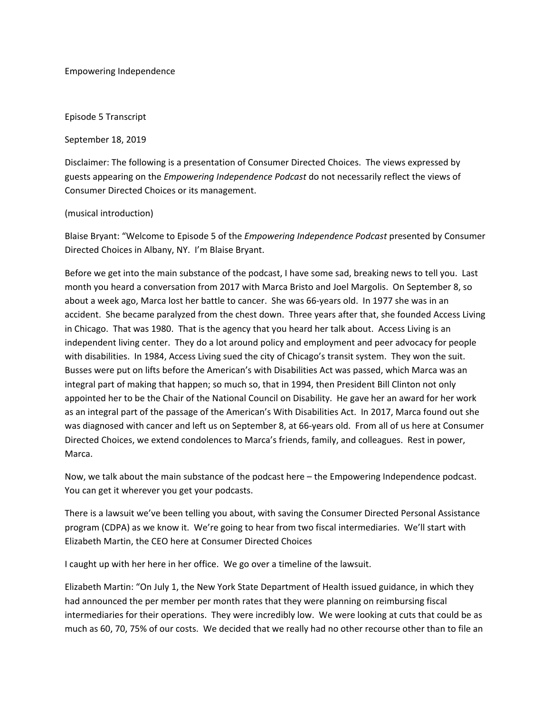Empowering Independence

Episode 5 Transcript

September 18, 2019

Disclaimer: The following is a presentation of Consumer Directed Choices. The views expressed by guests appearing on the *Empowering Independence Podcast* do not necessarily reflect the views of Consumer Directed Choices or its management.

(musical introduction)

Blaise Bryant: "Welcome to Episode 5 of the *Empowering Independence Podcast* presented by Consumer Directed Choices in Albany, NY. I'm Blaise Bryant.

Before we get into the main substance of the podcast, I have some sad, breaking news to tell you. Last month you heard a conversation from 2017 with Marca Bristo and Joel Margolis. On September 8, so about a week ago, Marca lost her battle to cancer. She was 66‐years old. In 1977 she was in an accident. She became paralyzed from the chest down. Three years after that, she founded Access Living in Chicago. That was 1980. That is the agency that you heard her talk about. Access Living is an independent living center. They do a lot around policy and employment and peer advocacy for people with disabilities. In 1984, Access Living sued the city of Chicago's transit system. They won the suit. Busses were put on lifts before the American's with Disabilities Act was passed, which Marca was an integral part of making that happen; so much so, that in 1994, then President Bill Clinton not only appointed her to be the Chair of the National Council on Disability. He gave her an award for her work as an integral part of the passage of the American's With Disabilities Act. In 2017, Marca found out she was diagnosed with cancer and left us on September 8, at 66‐years old. From all of us here at Consumer Directed Choices, we extend condolences to Marca's friends, family, and colleagues. Rest in power, Marca.

Now, we talk about the main substance of the podcast here – the Empowering Independence podcast. You can get it wherever you get your podcasts.

There is a lawsuit we've been telling you about, with saving the Consumer Directed Personal Assistance program (CDPA) as we know it. We're going to hear from two fiscal intermediaries. We'll start with Elizabeth Martin, the CEO here at Consumer Directed Choices

I caught up with her here in her office. We go over a timeline of the lawsuit.

Elizabeth Martin: "On July 1, the New York State Department of Health issued guidance, in which they had announced the per member per month rates that they were planning on reimbursing fiscal intermediaries for their operations. They were incredibly low. We were looking at cuts that could be as much as 60, 70, 75% of our costs. We decided that we really had no other recourse other than to file an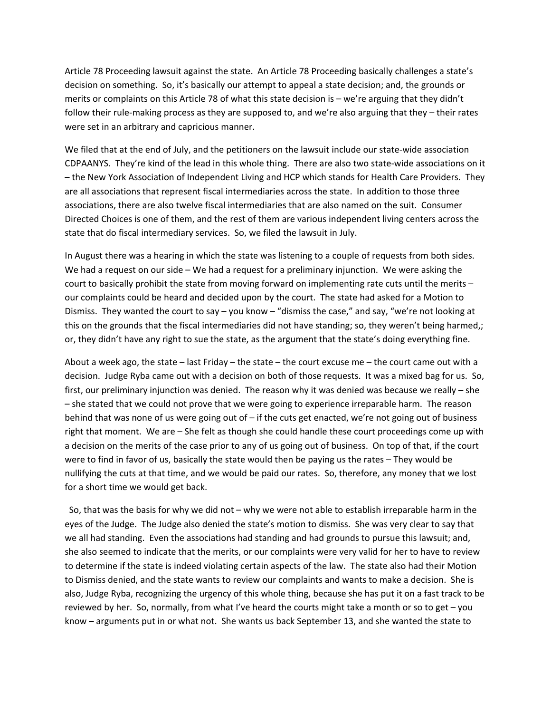Article 78 Proceeding lawsuit against the state. An Article 78 Proceeding basically challenges a state's decision on something. So, it's basically our attempt to appeal a state decision; and, the grounds or merits or complaints on this Article 78 of what this state decision is – we're arguing that they didn't follow their rule-making process as they are supposed to, and we're also arguing that they – their rates were set in an arbitrary and capricious manner.

We filed that at the end of July, and the petitioners on the lawsuit include our state-wide association CDPAANYS. They're kind of the lead in this whole thing. There are also two state‐wide associations on it – the New York Association of Independent Living and HCP which stands for Health Care Providers. They are all associations that represent fiscal intermediaries across the state. In addition to those three associations, there are also twelve fiscal intermediaries that are also named on the suit. Consumer Directed Choices is one of them, and the rest of them are various independent living centers across the state that do fiscal intermediary services. So, we filed the lawsuit in July.

In August there was a hearing in which the state was listening to a couple of requests from both sides. We had a request on our side – We had a request for a preliminary injunction. We were asking the court to basically prohibit the state from moving forward on implementing rate cuts until the merits – our complaints could be heard and decided upon by the court. The state had asked for a Motion to Dismiss. They wanted the court to say – you know – "dismiss the case," and say, "we're not looking at this on the grounds that the fiscal intermediaries did not have standing; so, they weren't being harmed,; or, they didn't have any right to sue the state, as the argument that the state's doing everything fine.

About a week ago, the state – last Friday – the state – the court excuse me – the court came out with a decision. Judge Ryba came out with a decision on both of those requests. It was a mixed bag for us. So, first, our preliminary injunction was denied. The reason why it was denied was because we really – she – she stated that we could not prove that we were going to experience irreparable harm. The reason behind that was none of us were going out of – if the cuts get enacted, we're not going out of business right that moment. We are – She felt as though she could handle these court proceedings come up with a decision on the merits of the case prior to any of us going out of business. On top of that, if the court were to find in favor of us, basically the state would then be paying us the rates – They would be nullifying the cuts at that time, and we would be paid our rates. So, therefore, any money that we lost for a short time we would get back.

 So, that was the basis for why we did not – why we were not able to establish irreparable harm in the eyes of the Judge. The Judge also denied the state's motion to dismiss. She was very clear to say that we all had standing. Even the associations had standing and had grounds to pursue this lawsuit; and, she also seemed to indicate that the merits, or our complaints were very valid for her to have to review to determine if the state is indeed violating certain aspects of the law. The state also had their Motion to Dismiss denied, and the state wants to review our complaints and wants to make a decision. She is also, Judge Ryba, recognizing the urgency of this whole thing, because she has put it on a fast track to be reviewed by her. So, normally, from what I've heard the courts might take a month or so to get – you know – arguments put in or what not. She wants us back September 13, and she wanted the state to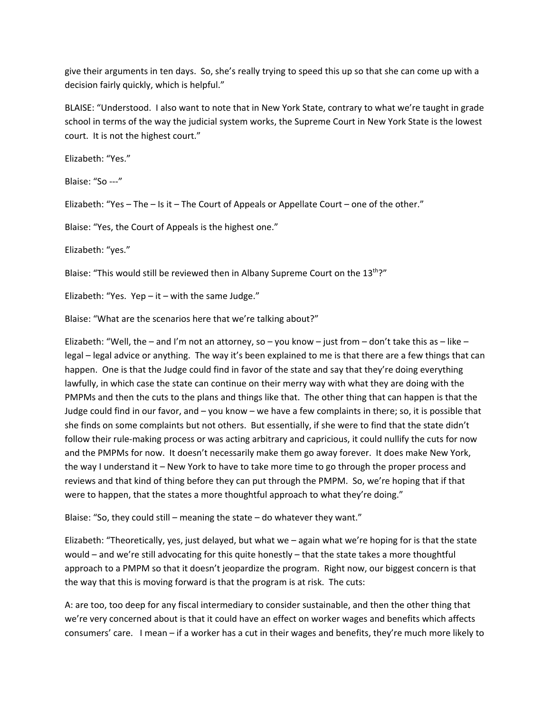give their arguments in ten days. So, she's really trying to speed this up so that she can come up with a decision fairly quickly, which is helpful."

BLAISE: "Understood. I also want to note that in New York State, contrary to what we're taught in grade school in terms of the way the judicial system works, the Supreme Court in New York State is the lowest court. It is not the highest court."

Elizabeth: "Yes."

Blaise: "So ‐‐‐"

Elizabeth: "Yes – The – Is it – The Court of Appeals or Appellate Court – one of the other."

Blaise: "Yes, the Court of Appeals is the highest one."

Elizabeth: "yes."

Blaise: "This would still be reviewed then in Albany Supreme Court on the 13<sup>th</sup>?"

Elizabeth: "Yes.  $Yep - it - with the same Judge."$ 

Blaise: "What are the scenarios here that we're talking about?"

Elizabeth: "Well, the – and I'm not an attorney, so – you know – just from – don't take this as – like – legal – legal advice or anything. The way it's been explained to me is that there are a few things that can happen. One is that the Judge could find in favor of the state and say that they're doing everything lawfully, in which case the state can continue on their merry way with what they are doing with the PMPMs and then the cuts to the plans and things like that. The other thing that can happen is that the Judge could find in our favor, and – you know – we have a few complaints in there; so, it is possible that she finds on some complaints but not others. But essentially, if she were to find that the state didn't follow their rule-making process or was acting arbitrary and capricious, it could nullify the cuts for now and the PMPMs for now. It doesn't necessarily make them go away forever. It does make New York, the way I understand it – New York to have to take more time to go through the proper process and reviews and that kind of thing before they can put through the PMPM. So, we're hoping that if that were to happen, that the states a more thoughtful approach to what they're doing."

Blaise: "So, they could still – meaning the state – do whatever they want."

Elizabeth: "Theoretically, yes, just delayed, but what we – again what we're hoping for is that the state would – and we're still advocating for this quite honestly – that the state takes a more thoughtful approach to a PMPM so that it doesn't jeopardize the program. Right now, our biggest concern is that the way that this is moving forward is that the program is at risk. The cuts:

A: are too, too deep for any fiscal intermediary to consider sustainable, and then the other thing that we're very concerned about is that it could have an effect on worker wages and benefits which affects consumers' care. I mean – if a worker has a cut in their wages and benefits, they're much more likely to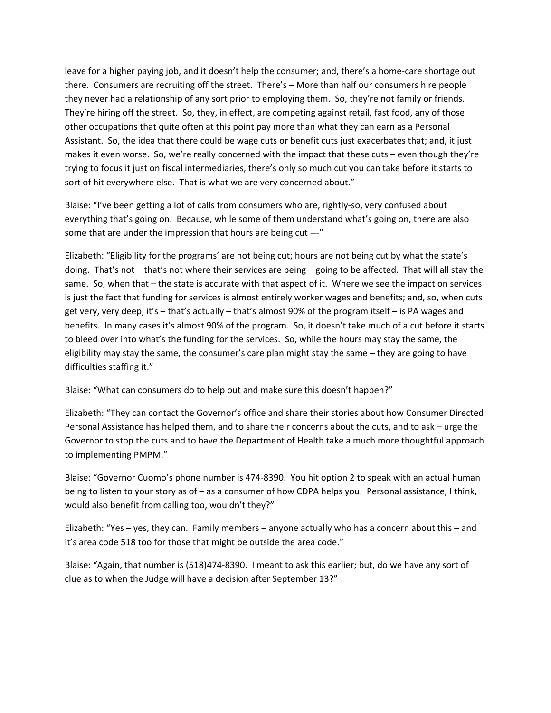leave for a higher paying job, and it doesn't help the consumer; and, there's a home‐care shortage out there. Consumers are recruiting off the street. There's – More than half our consumers hire people they never had a relationship of any sort prior to employing them. So, they're not family or friends. They're hiring off the street. So, they, in effect, are competing against retail, fast food, any of those other occupations that quite often at this point pay more than what they can earn as a Personal Assistant. So, the idea that there could be wage cuts or benefit cuts just exacerbates that; and, it just makes it even worse. So, we're really concerned with the impact that these cuts – even though they're trying to focus it just on fiscal intermediaries, there's only so much cut you can take before it starts to sort of hit everywhere else. That is what we are very concerned about."

Blaise: "I've been getting a lot of calls from consumers who are, rightly‐so, very confused about everything that's going on. Because, while some of them understand what's going on, there are also some that are under the impression that hours are being cut ---"

Elizabeth: "Eligibility for the programs' are not being cut; hours are not being cut by what the state's doing. That's not – that's not where their services are being – going to be affected. That will all stay the same. So, when that – the state is accurate with that aspect of it. Where we see the impact on services is just the fact that funding for services is almost entirely worker wages and benefits; and, so, when cuts get very, very deep, it's – that's actually – that's almost 90% of the program itself – is PA wages and benefits. In many cases it's almost 90% of the program. So, it doesn't take much of a cut before it starts to bleed over into what's the funding for the services. So, while the hours may stay the same, the eligibility may stay the same, the consumer's care plan might stay the same – they are going to have difficulties staffing it."

Blaise: "What can consumers do to help out and make sure this doesn't happen?"

Elizabeth: "They can contact the Governor's office and share their stories about how Consumer Directed Personal Assistance has helped them, and to share their concerns about the cuts, and to ask – urge the Governor to stop the cuts and to have the Department of Health take a much more thoughtful approach to implementing PMPM."

Blaise: "Governor Cuomo's phone number is 474‐8390. You hit option 2 to speak with an actual human being to listen to your story as of – as a consumer of how CDPA helps you. Personal assistance, I think, would also benefit from calling too, wouldn't they?"

Elizabeth: "Yes – yes, they can. Family members – anyone actually who has a concern about this – and it's area code 518 too for those that might be outside the area code."

Blaise: "Again, that number is (518)474‐8390. I meant to ask this earlier; but, do we have any sort of clue as to when the Judge will have a decision after September 13?"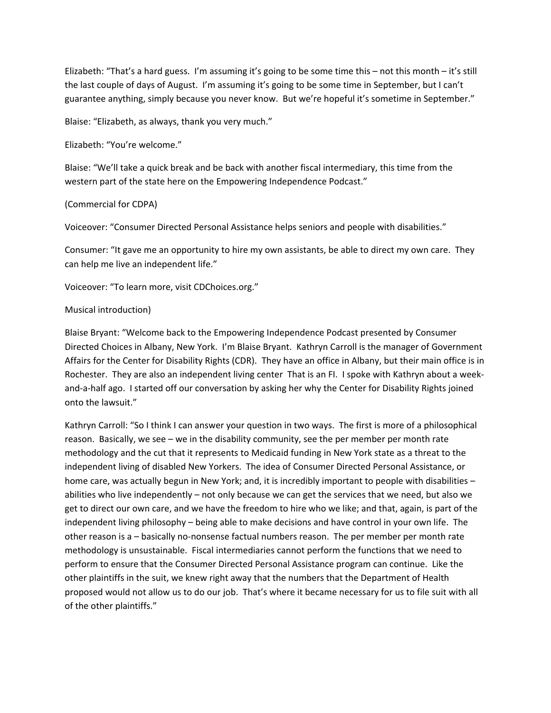Elizabeth: "That's a hard guess. I'm assuming it's going to be some time this – not this month – it's still the last couple of days of August. I'm assuming it's going to be some time in September, but I can't guarantee anything, simply because you never know. But we're hopeful it's sometime in September."

Blaise: "Elizabeth, as always, thank you very much."

Elizabeth: "You're welcome."

Blaise: "We'll take a quick break and be back with another fiscal intermediary, this time from the western part of the state here on the Empowering Independence Podcast."

## (Commercial for CDPA)

Voiceover: "Consumer Directed Personal Assistance helps seniors and people with disabilities."

Consumer: "It gave me an opportunity to hire my own assistants, be able to direct my own care. They can help me live an independent life."

Voiceover: "To learn more, visit CDChoices.org."

## Musical introduction)

Blaise Bryant: "Welcome back to the Empowering Independence Podcast presented by Consumer Directed Choices in Albany, New York. I'm Blaise Bryant. Kathryn Carroll is the manager of Government Affairs for the Center for Disability Rights (CDR). They have an office in Albany, but their main office is in Rochester. They are also an independent living center That is an FI. I spoke with Kathryn about a week‐ and‐a‐half ago. I started off our conversation by asking her why the Center for Disability Rights joined onto the lawsuit."

Kathryn Carroll: "So I think I can answer your question in two ways. The first is more of a philosophical reason. Basically, we see – we in the disability community, see the per member per month rate methodology and the cut that it represents to Medicaid funding in New York state as a threat to the independent living of disabled New Yorkers. The idea of Consumer Directed Personal Assistance, or home care, was actually begun in New York; and, it is incredibly important to people with disabilities abilities who live independently – not only because we can get the services that we need, but also we get to direct our own care, and we have the freedom to hire who we like; and that, again, is part of the independent living philosophy – being able to make decisions and have control in your own life. The other reason is a – basically no‐nonsense factual numbers reason. The per member per month rate methodology is unsustainable. Fiscal intermediaries cannot perform the functions that we need to perform to ensure that the Consumer Directed Personal Assistance program can continue. Like the other plaintiffs in the suit, we knew right away that the numbers that the Department of Health proposed would not allow us to do our job. That's where it became necessary for us to file suit with all of the other plaintiffs."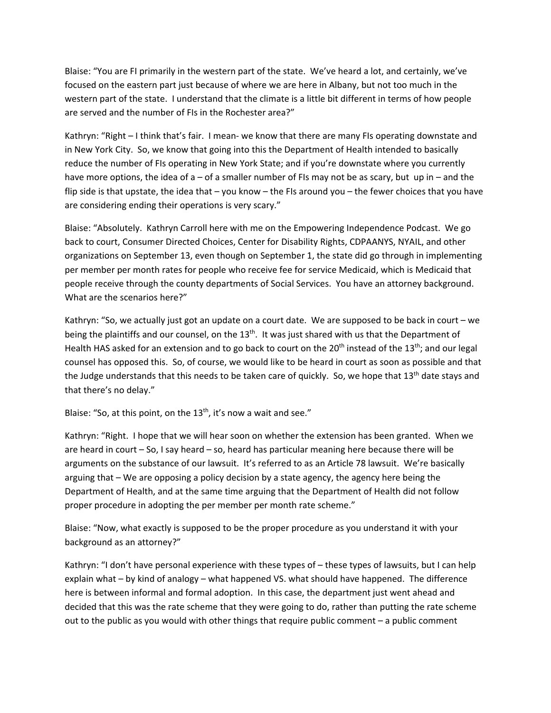Blaise: "You are FI primarily in the western part of the state. We've heard a lot, and certainly, we've focused on the eastern part just because of where we are here in Albany, but not too much in the western part of the state. I understand that the climate is a little bit different in terms of how people are served and the number of FIs in the Rochester area?"

Kathryn: "Right – I think that's fair. I mean- we know that there are many FIs operating downstate and in New York City. So, we know that going into this the Department of Health intended to basically reduce the number of FIs operating in New York State; and if you're downstate where you currently have more options, the idea of a – of a smaller number of FIs may not be as scary, but up in – and the flip side is that upstate, the idea that – you know – the FIs around you – the fewer choices that you have are considering ending their operations is very scary."

Blaise: "Absolutely. Kathryn Carroll here with me on the Empowering Independence Podcast. We go back to court, Consumer Directed Choices, Center for Disability Rights, CDPAANYS, NYAIL, and other organizations on September 13, even though on September 1, the state did go through in implementing per member per month rates for people who receive fee for service Medicaid, which is Medicaid that people receive through the county departments of Social Services. You have an attorney background. What are the scenarios here?"

Kathryn: "So, we actually just got an update on a court date. We are supposed to be back in court – we being the plaintiffs and our counsel, on the 13<sup>th</sup>. It was just shared with us that the Department of Health HAS asked for an extension and to go back to court on the  $20<sup>th</sup>$  instead of the  $13<sup>th</sup>$ ; and our legal counsel has opposed this. So, of course, we would like to be heard in court as soon as possible and that the Judge understands that this needs to be taken care of quickly. So, we hope that 13<sup>th</sup> date stays and that there's no delay."

Blaise: "So, at this point, on the  $13<sup>th</sup>$ , it's now a wait and see."

Kathryn: "Right. I hope that we will hear soon on whether the extension has been granted. When we are heard in court – So, I say heard – so, heard has particular meaning here because there will be arguments on the substance of our lawsuit. It's referred to as an Article 78 lawsuit. We're basically arguing that – We are opposing a policy decision by a state agency, the agency here being the Department of Health, and at the same time arguing that the Department of Health did not follow proper procedure in adopting the per member per month rate scheme."

Blaise: "Now, what exactly is supposed to be the proper procedure as you understand it with your background as an attorney?"

Kathryn: "I don't have personal experience with these types of – these types of lawsuits, but I can help explain what – by kind of analogy – what happened VS. what should have happened. The difference here is between informal and formal adoption. In this case, the department just went ahead and decided that this was the rate scheme that they were going to do, rather than putting the rate scheme out to the public as you would with other things that require public comment – a public comment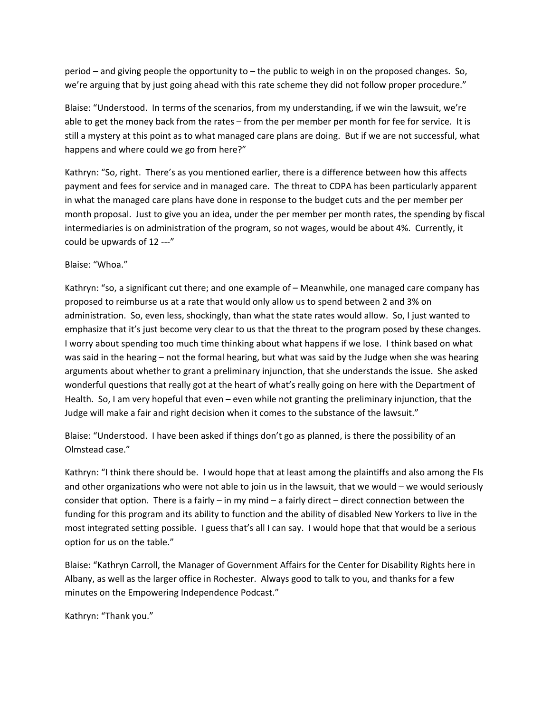period – and giving people the opportunity to – the public to weigh in on the proposed changes. So, we're arguing that by just going ahead with this rate scheme they did not follow proper procedure."

Blaise: "Understood. In terms of the scenarios, from my understanding, if we win the lawsuit, we're able to get the money back from the rates – from the per member per month for fee for service. It is still a mystery at this point as to what managed care plans are doing. But if we are not successful, what happens and where could we go from here?"

Kathryn: "So, right. There's as you mentioned earlier, there is a difference between how this affects payment and fees for service and in managed care. The threat to CDPA has been particularly apparent in what the managed care plans have done in response to the budget cuts and the per member per month proposal. Just to give you an idea, under the per member per month rates, the spending by fiscal intermediaries is on administration of the program, so not wages, would be about 4%. Currently, it could be upwards of 12 ‐‐‐"

## Blaise: "Whoa."

Kathryn: "so, a significant cut there; and one example of – Meanwhile, one managed care company has proposed to reimburse us at a rate that would only allow us to spend between 2 and 3% on administration. So, even less, shockingly, than what the state rates would allow. So, I just wanted to emphasize that it's just become very clear to us that the threat to the program posed by these changes. I worry about spending too much time thinking about what happens if we lose. I think based on what was said in the hearing – not the formal hearing, but what was said by the Judge when she was hearing arguments about whether to grant a preliminary injunction, that she understands the issue. She asked wonderful questions that really got at the heart of what's really going on here with the Department of Health. So, I am very hopeful that even – even while not granting the preliminary injunction, that the Judge will make a fair and right decision when it comes to the substance of the lawsuit."

Blaise: "Understood. I have been asked if things don't go as planned, is there the possibility of an Olmstead case."

Kathryn: "I think there should be. I would hope that at least among the plaintiffs and also among the FIs and other organizations who were not able to join us in the lawsuit, that we would – we would seriously consider that option. There is a fairly – in my mind – a fairly direct – direct connection between the funding for this program and its ability to function and the ability of disabled New Yorkers to live in the most integrated setting possible. I guess that's all I can say. I would hope that that would be a serious option for us on the table."

Blaise: "Kathryn Carroll, the Manager of Government Affairs for the Center for Disability Rights here in Albany, as well as the larger office in Rochester. Always good to talk to you, and thanks for a few minutes on the Empowering Independence Podcast."

Kathryn: "Thank you."